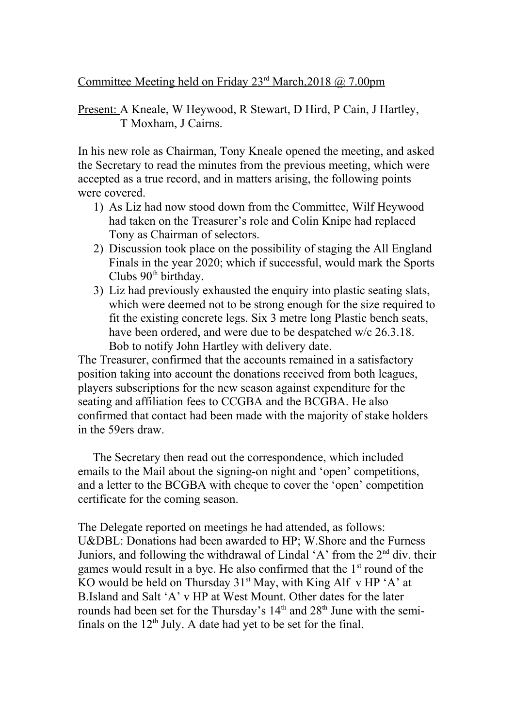Committee Meeting held on Friday 23<sup>rd</sup> March, 2018 @ 7.00pm

## Present: A Kneale, W Heywood, R Stewart, D Hird, P Cain, J Hartley, T Moxham, J Cairns.

In his new role as Chairman, Tony Kneale opened the meeting, and asked the Secretary to read the minutes from the previous meeting, which were accepted as a true record, and in matters arising, the following points were covered.

- 1) As Liz had now stood down from the Committee, Wilf Heywood had taken on the Treasurer's role and Colin Knipe had replaced Tony as Chairman of selectors.
- 2) Discussion took place on the possibility of staging the All England Finals in the year 2020; which if successful, would mark the Sports Clubs 90<sup>th</sup> birthday.
- 3) Liz had previously exhausted the enquiry into plastic seating slats, which were deemed not to be strong enough for the size required to fit the existing concrete legs. Six 3 metre long Plastic bench seats, have been ordered, and were due to be despatched w/c 26.3.18. Bob to notify John Hartley with delivery date.

The Treasurer, confirmed that the accounts remained in a satisfactory position taking into account the donations received from both leagues, players subscriptions for the new season against expenditure for the seating and affiliation fees to CCGBA and the BCGBA. He also confirmed that contact had been made with the majority of stake holders in the 59ers draw.

 The Secretary then read out the correspondence, which included emails to the Mail about the signing-on night and 'open' competitions, and a letter to the BCGBA with cheque to cover the 'open' competition certificate for the coming season.

The Delegate reported on meetings he had attended, as follows: U&DBL: Donations had been awarded to HP; W.Shore and the Furness Juniors, and following the withdrawal of Lindal 'A' from the  $2<sup>nd</sup>$  div. their games would result in a bye. He also confirmed that the  $1<sup>st</sup>$  round of the KO would be held on Thursday  $31<sup>st</sup>$  May, with King Alf v HP 'A' at B.Island and Salt 'A' v HP at West Mount. Other dates for the later rounds had been set for the Thursday's  $14<sup>th</sup>$  and  $28<sup>th</sup>$  June with the semifinals on the  $12<sup>th</sup>$  July. A date had yet to be set for the final.